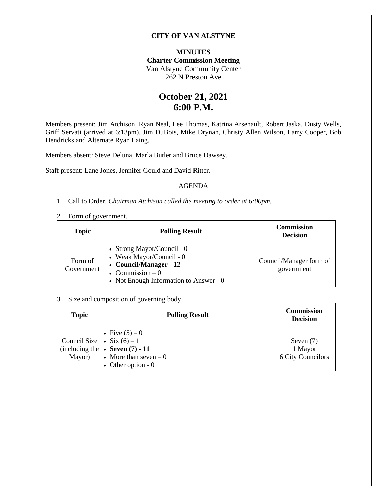## **CITY OF VAN ALSTYNE**

### **MINUTES Charter Commission Meeting** Van Alstyne Community Center 262 N Preston Ave

# **October 21, 2021 6:00 P.M.**

Members present: Jim Atchison, Ryan Neal, Lee Thomas, Katrina Arsenault, Robert Jaska, Dusty Wells, Griff Servati (arrived at 6:13pm), Jim DuBois, Mike Drynan, Christy Allen Wilson, Larry Cooper, Bob Hendricks and Alternate Ryan Laing.

Members absent: Steve Deluna, Marla Butler and Bruce Dawsey.

Staff present: Lane Jones, Jennifer Gould and David Ritter.

#### AGENDA

- 1. Call to Order. *Chairman Atchison called the meeting to order at 6:00pm.*
- 2. Form of government.

| <b>Topic</b>          | <b>Polling Result</b>                                                                                                                                       | <b>Commission</b><br><b>Decision</b>  |
|-----------------------|-------------------------------------------------------------------------------------------------------------------------------------------------------------|---------------------------------------|
| Form of<br>Government | • Strong Mayor/Council - $0$<br>• Weak Mayor/Council - $0$<br>$\cdot$ Council/Manager - 12<br>• Commission $-0$<br>• Not Enough Information to Answer - $0$ | Council/Manager form of<br>government |

#### 3. Size and composition of governing body.

| <b>Topic</b>                                    | <b>Polling Result</b>                                                                                      | <b>Commission</b><br><b>Decision</b>        |
|-------------------------------------------------|------------------------------------------------------------------------------------------------------------|---------------------------------------------|
| Council Size<br>• Five $(5)-0$<br>• Six $(6)-1$ | (including the $\vert \cdot \vert$ Seven (7) - 11<br>Mayor) • More than seven $-0$<br>• Other option - $0$ | Seven $(7)$<br>1 Mayor<br>6 City Councilors |